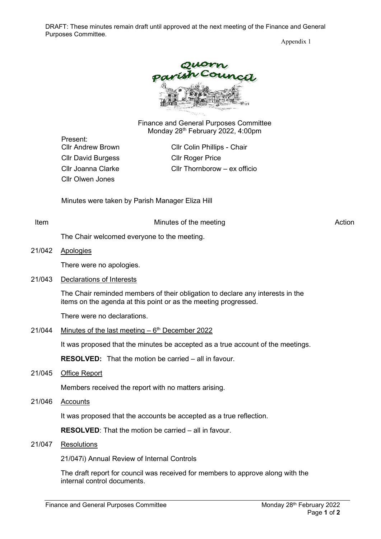DRAFT: These minutes remain draft until approved at the next meeting of the Finance and General Purposes Committee.

Appendix 1



Finance and General Purposes Committee Monday 28<sup>th</sup> February 2022, 4:00pm

Present: Cllr David Burgess Cllr Roger Price Cllr Olwen Jones

Cllr Andrew Brown Cllr Colin Phillips - Chair Cllr Joanna Clarke Cllr Thornborow – ex officio

Minutes were taken by Parish Manager Eliza Hill

Item **Internal Contract Contract Contract Contract Contract Contract Contract Contract Contract Contract Contract Contract Contract Contract Contract Contract Contract Contract Contract Contract Contract Contract Contract** 

The Chair welcomed everyone to the meeting.

21/042 Apologies

There were no apologies.

21/043 Declarations of Interests

The Chair reminded members of their obligation to declare any interests in the items on the agenda at this point or as the meeting progressed.

There were no declarations.

## 21/044 Minutes of the last meeting  $-6<sup>th</sup>$  December 2022

It was proposed that the minutes be accepted as a true account of the meetings.

**RESOLVED:** That the motion be carried – all in favour.

21/045 Office Report

Members received the report with no matters arising.

21/046 Accounts

It was proposed that the accounts be accepted as a true reflection.

**RESOLVED**: That the motion be carried – all in favour.

## 21/047 Resolutions

21/047i) Annual Review of Internal Controls

The draft report for council was received for members to approve along with the internal control documents.